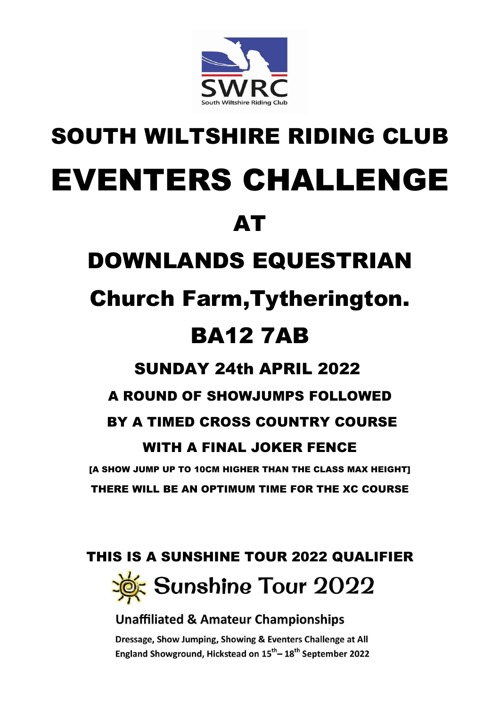

# SOUTH WILTSHIRE RIDING CLUB EVENTERS CHALLENGE

AT

# DOWNLANDS EQUESTRIAN

# Church Farm,Tytherington. BA12 7AB

# SUNDAY 24th APRIL 2022

## A ROUND OF SHOWJUMPS FOLLOWED

## BY A TIMED CROSS COUNTRY COURSE

## WITH A FINAL JOKER FENCE

[A SHOW JUMP UP TO 10CM HIGHER THAN THE CLASS MAX HEIGHT] THERE WILL BE AN OPTIMUM TIME FOR THE XC COURSE

### THIS IS A SUNSHINE TOUR 2022 QUALIFIER



#### **Unaffiliated & Amateur Championships**

Dressage, Show Jumping, Showing & Eventers Challenge at All England Showground, Hickstead on 15<sup>th</sup> – 18<sup>th</sup> September 2022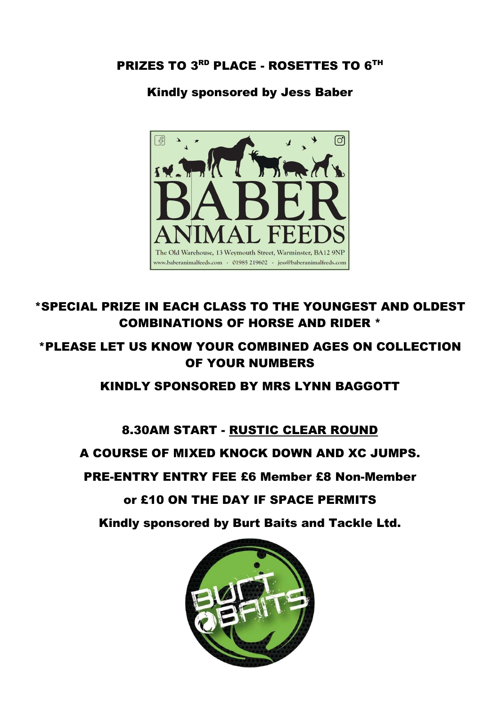#### PRIZES TO 3<sup>RD</sup> PLACE - ROSETTES TO 6<sup>TH</sup>

#### Kindly sponsored by Jess Baber



#### \*SPECIAL PRIZE IN EACH CLASS TO THE YOUNGEST AND OLDEST COMBINATIONS OF HORSE AND RIDER \*

#### \*PLEASE LET US KNOW YOUR COMBINED AGES ON COLLECTION OF YOUR NUMBERS

#### KINDLY SPONSORED BY MRS LYNN BAGGOTT

#### 8.30AM START - RUSTIC CLEAR ROUND

#### A COURSE OF MIXED KNOCK DOWN AND XC JUMPS.

#### PRE-ENTRY ENTRY FEE £6 Member £8 Non-Member

#### or £10 ON THE DAY IF SPACE PERMITS

Kindly sponsored by Burt Baits and Tackle Ltd.

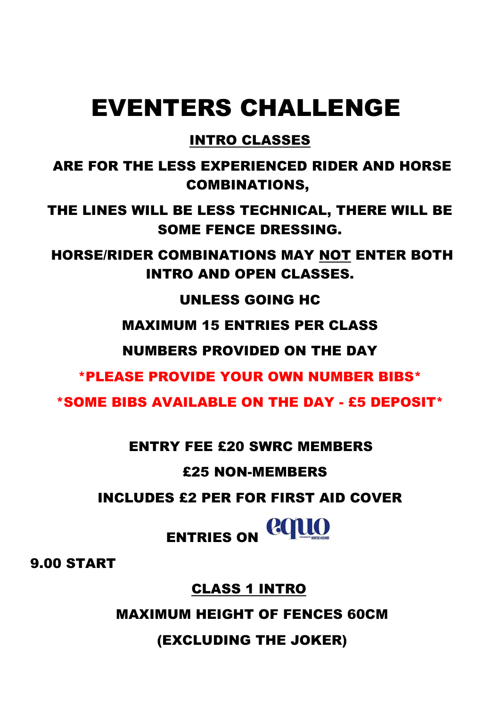# EVENTERS CHALLENGE

#### INTRO CLASSES

 ARE FOR THE LESS EXPERIENCED RIDER AND HORSE COMBINATIONS,

THE LINES WILL BE LESS TECHNICAL, THERE WILL BE SOME FENCE DRESSING.

 HORSE/RIDER COMBINATIONS MAY NOT ENTER BOTH INTRO AND OPEN CLASSES.

UNLESS GOING HC

MAXIMUM 15 ENTRIES PER CLASS

NUMBERS PROVIDED ON THE DAY

\*PLEASE PROVIDE YOUR OWN NUMBER BIBS\*

\*SOME BIBS AVAILABLE ON THE DAY - £5 DEPOSIT\*

ENTRY FEE £20 SWRC MEMBERS

£25 NON-MEMBERS

INCLUDES £2 PER FOR FIRST AID COVER

ENTRIES ON COLLO

9.00 START

CLASS 1 INTRO

MAXIMUM HEIGHT OF FENCES 60CM

(EXCLUDING THE JOKER)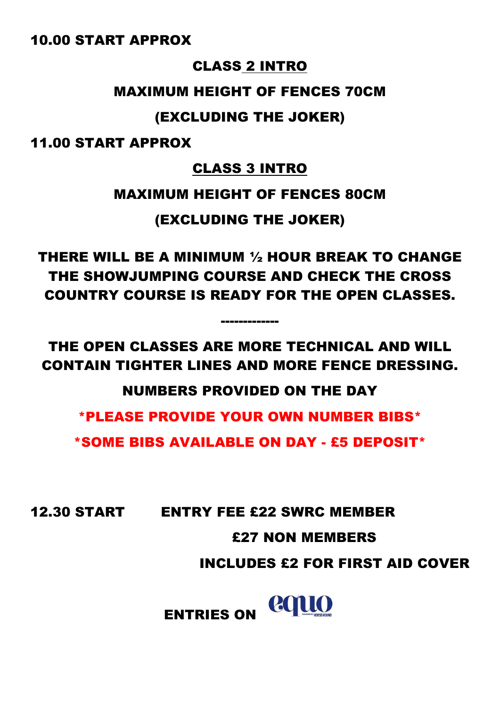#### 10.00 START APPROX

#### CLASS 2 INTRO

#### MAXIMUM HEIGHT OF FENCES 70CM

#### (EXCLUDING THE JOKER)

11.00 START APPROX

#### CLASS 3 INTRO

#### MAXIMUM HEIGHT OF FENCES 80CM

(EXCLUDING THE JOKER)

THERE WILL BE A MINIMUM ½ HOUR BREAK TO CHANGE THE SHOWJUMPING COURSE AND CHECK THE CROSS COUNTRY COURSE IS READY FOR THE OPEN CLASSES.

THE OPEN CLASSES ARE MORE TECHNICAL AND WILL CONTAIN TIGHTER LINES AND MORE FENCE DRESSING.

-------------

NUMBERS PROVIDED ON THE DAY

\*PLEASE PROVIDE YOUR OWN NUMBER BIBS\*

\*SOME BIBS AVAILABLE ON DAY - £5 DEPOSIT\*

12.30 START ENTRY FEE £22 SWRC MEMBER

#### £27 NON MEMBERS

INCLUDES £2 FOR FIRST AID COVER

ENTRIES ON COLLO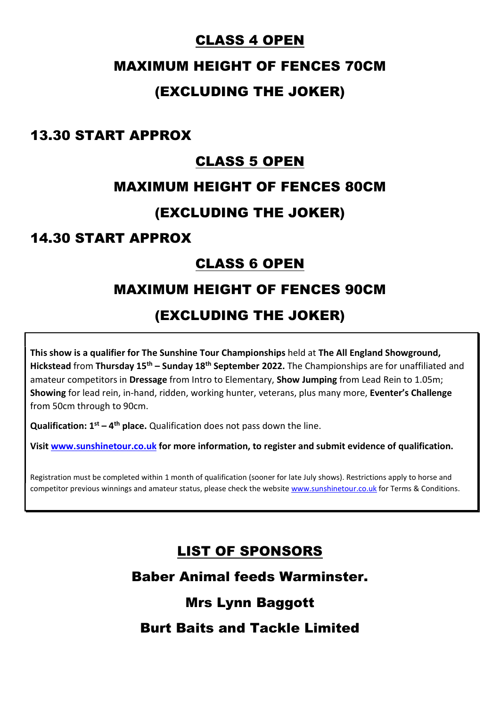#### CLASS 4 OPEN

#### MAXIMUM HEIGHT OF FENCES 70CM

#### (EXCLUDING THE JOKER)

#### 13.30 START APPROX

#### CLASS 5 OPEN

#### MAXIMUM HEIGHT OF FENCES 80CM

#### (EXCLUDING THE JOKER)

#### 14.30 START APPROX

#### CLASS 6 OPEN

#### MAXIMUM HEIGHT OF FENCES 90CM

#### (EXCLUDING THE JOKER)

This show is a qualifier for The Sunshine Tour Championships held at The All England Showground, Hickstead from Thursday  $15<sup>th</sup>$  – Sunday  $18<sup>th</sup>$  September 2022. The Championships are for unaffiliated and amateur competitors in Dressage from Intro to Elementary, Show Jumping from Lead Rein to 1.05m; Showing for lead rein, in-hand, ridden, working hunter, veterans, plus many more, Eventer's Challenge from 50cm through to 90cm.

**Qualification:**  $1^{st} - 4^{th}$  place. Qualification does not pass down the line.

Visit www.sunshinetour.co.uk for more information, to register and submit evidence of qualification.

Registration must be completed within 1 month of qualification (sooner for late July shows). Restrictions apply to horse and competitor previous winnings and amateur status, please check the website www.sunshinetour.co.uk for Terms & Conditions.

#### LIST OF SPONSORS

Baber Animal feeds Warminster.

#### Mrs Lynn Baggott

#### Burt Baits and Tackle Limited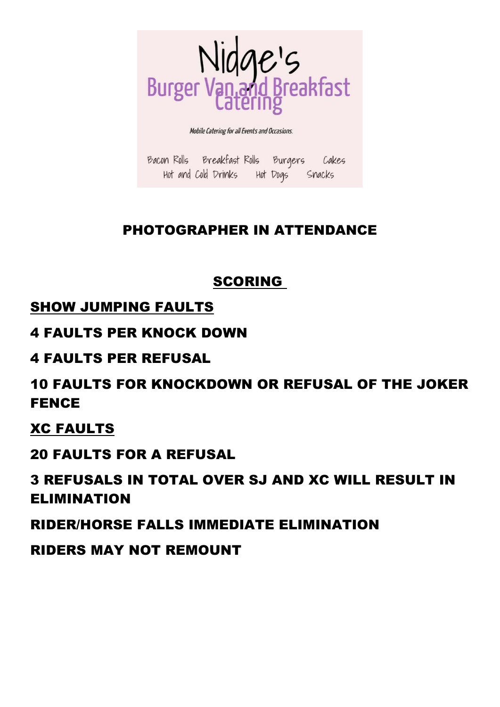

Mobile Catering for all Events and Occasions.

Bacon Rolls Breakfast Rolls Burgers Cakes Hot and Cold Drinks Hot Dogs Snacks

#### PHOTOGRAPHER IN ATTENDANCE

#### **SCORING**

#### SHOW JUMPING FAULTS

#### 4 FAULTS PER KNOCK DOWN

#### 4 FAULTS PER REFUSAL

#### 10 FAULTS FOR KNOCKDOWN OR REFUSAL OF THE JOKER FENCE

#### XC FAULTS

#### 20 FAULTS FOR A REFUSAL

#### 3 REFUSALS IN TOTAL OVER SJ AND XC WILL RESULT IN ELIMINATION

#### RIDER/HORSE FALLS IMMEDIATE ELIMINATION

#### RIDERS MAY NOT REMOUNT